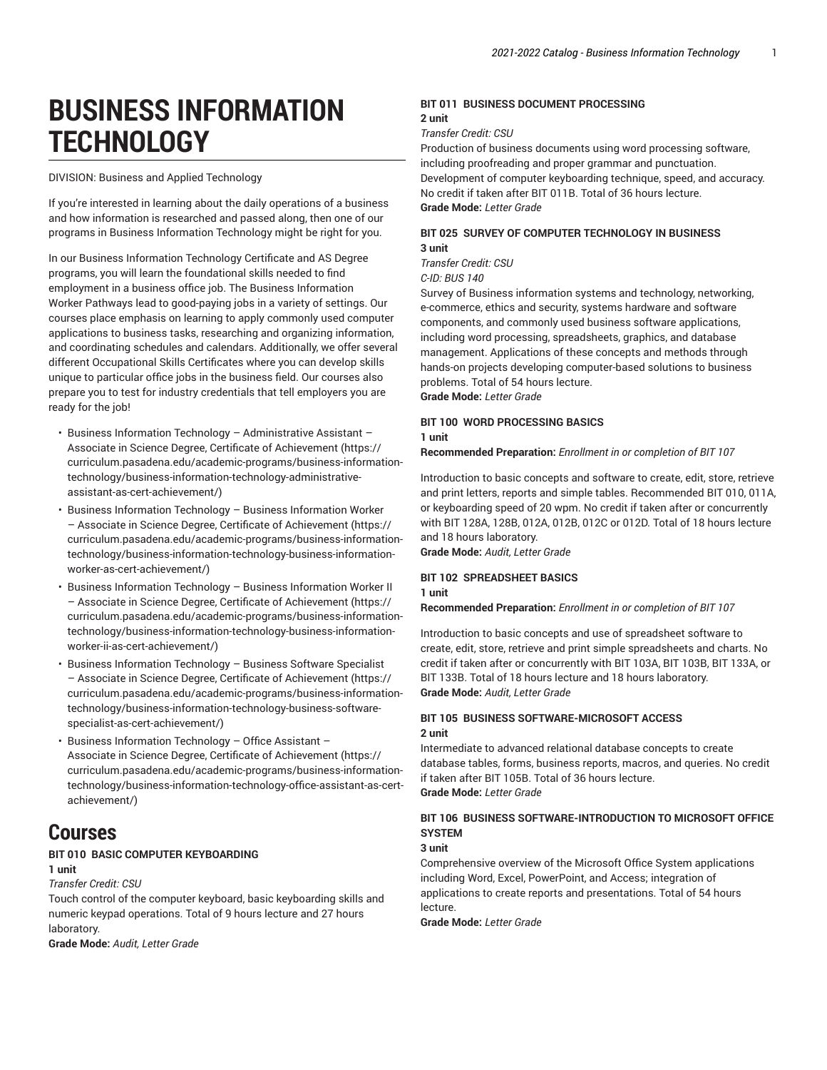# **BUSINESS INFORMATION TECHNOLOGY**

DIVISION: Business and Applied Technology

If you're interested in learning about the daily operations of a business and how information is researched and passed along, then one of our programs in Business Information Technology might be right for you.

In our Business Information Technology Certificate and AS Degree programs, you will learn the foundational skills needed to find employment in a business office job. The Business Information Worker Pathways lead to good-paying jobs in a variety of settings. Our courses place emphasis on learning to apply commonly used computer applications to business tasks, researching and organizing information, and coordinating schedules and calendars. Additionally, we offer several different Occupational Skills Certificates where you can develop skills unique to particular office jobs in the business field. Our courses also prepare you to test for industry credentials that tell employers you are ready for the job!

- Business Information Technology [Administrative](https://curriculum.pasadena.edu/academic-programs/business-information-technology/business-information-technology-administrative-assistant-as-cert-achievement/) Assistant Associate in Science Degree, Certificate of [Achievement](https://curriculum.pasadena.edu/academic-programs/business-information-technology/business-information-technology-administrative-assistant-as-cert-achievement/) [\(https://](https://curriculum.pasadena.edu/academic-programs/business-information-technology/business-information-technology-administrative-assistant-as-cert-achievement/) [curriculum.pasadena.edu/academic-programs/business-information](https://curriculum.pasadena.edu/academic-programs/business-information-technology/business-information-technology-administrative-assistant-as-cert-achievement/)[technology/business-information-technology-administrative](https://curriculum.pasadena.edu/academic-programs/business-information-technology/business-information-technology-administrative-assistant-as-cert-achievement/)[assistant-as-cert-achievement/\)](https://curriculum.pasadena.edu/academic-programs/business-information-technology/business-information-technology-administrative-assistant-as-cert-achievement/)
- Business [Information](https://curriculum.pasadena.edu/academic-programs/business-information-technology/business-information-technology-business-information-worker-as-cert-achievement/) Technology Business Information Worker – Associate in Science Degree, Certificate of [Achievement](https://curriculum.pasadena.edu/academic-programs/business-information-technology/business-information-technology-business-information-worker-as-cert-achievement/) ([https://](https://curriculum.pasadena.edu/academic-programs/business-information-technology/business-information-technology-business-information-worker-as-cert-achievement/) [curriculum.pasadena.edu/academic-programs/business-information](https://curriculum.pasadena.edu/academic-programs/business-information-technology/business-information-technology-business-information-worker-as-cert-achievement/)[technology/business-information-technology-business-information](https://curriculum.pasadena.edu/academic-programs/business-information-technology/business-information-technology-business-information-worker-as-cert-achievement/)[worker-as-cert-achievement/\)](https://curriculum.pasadena.edu/academic-programs/business-information-technology/business-information-technology-business-information-worker-as-cert-achievement/)
- Business [Information](https://curriculum.pasadena.edu/academic-programs/business-information-technology/business-information-technology-business-information-worker-ii-as-cert-achievement/) Technology Business Information Worker II – Associate in Science Degree, Certificate of [Achievement](https://curriculum.pasadena.edu/academic-programs/business-information-technology/business-information-technology-business-information-worker-ii-as-cert-achievement/) ([https://](https://curriculum.pasadena.edu/academic-programs/business-information-technology/business-information-technology-business-information-worker-ii-as-cert-achievement/) [curriculum.pasadena.edu/academic-programs/business-information](https://curriculum.pasadena.edu/academic-programs/business-information-technology/business-information-technology-business-information-worker-ii-as-cert-achievement/)[technology/business-information-technology-business-information](https://curriculum.pasadena.edu/academic-programs/business-information-technology/business-information-technology-business-information-worker-ii-as-cert-achievement/)[worker-ii-as-cert-achievement/](https://curriculum.pasadena.edu/academic-programs/business-information-technology/business-information-technology-business-information-worker-ii-as-cert-achievement/))
- Business [Information](https://curriculum.pasadena.edu/academic-programs/business-information-technology/business-information-technology-business-software-specialist-as-cert-achievement/) Technology Business Software Specialist – Associate in Science Degree, Certificate of [Achievement](https://curriculum.pasadena.edu/academic-programs/business-information-technology/business-information-technology-business-software-specialist-as-cert-achievement/) ([https://](https://curriculum.pasadena.edu/academic-programs/business-information-technology/business-information-technology-business-software-specialist-as-cert-achievement/) [curriculum.pasadena.edu/academic-programs/business-information](https://curriculum.pasadena.edu/academic-programs/business-information-technology/business-information-technology-business-software-specialist-as-cert-achievement/)[technology/business-information-technology-business-software](https://curriculum.pasadena.edu/academic-programs/business-information-technology/business-information-technology-business-software-specialist-as-cert-achievement/)[specialist-as-cert-achievement/](https://curriculum.pasadena.edu/academic-programs/business-information-technology/business-information-technology-business-software-specialist-as-cert-achievement/))
- Business [Information](https://curriculum.pasadena.edu/academic-programs/business-information-technology/business-information-technology-office-assistant-as-cert-achievement/) Technology Office Assistant Associate in Science Degree, Certificate of [Achievement](https://curriculum.pasadena.edu/academic-programs/business-information-technology/business-information-technology-office-assistant-as-cert-achievement/) [\(https://](https://curriculum.pasadena.edu/academic-programs/business-information-technology/business-information-technology-office-assistant-as-cert-achievement/) [curriculum.pasadena.edu/academic-programs/business-information](https://curriculum.pasadena.edu/academic-programs/business-information-technology/business-information-technology-office-assistant-as-cert-achievement/)[technology/business-information-technology-office-assistant-as-cert](https://curriculum.pasadena.edu/academic-programs/business-information-technology/business-information-technology-office-assistant-as-cert-achievement/)[achievement/](https://curriculum.pasadena.edu/academic-programs/business-information-technology/business-information-technology-office-assistant-as-cert-achievement/))

# **Courses**

#### **BIT 010 BASIC COMPUTER KEYBOARDING**

# **1 unit**

# *Transfer Credit: CSU*

Touch control of the computer keyboard, basic keyboarding skills and numeric keypad operations. Total of 9 hours lecture and 27 hours laboratory.

**Grade Mode:** *Audit, Letter Grade*

#### **BIT 011 BUSINESS DOCUMENT PROCESSING 2 unit**

#### *Transfer Credit: CSU*

Production of business documents using word processing software, including proofreading and proper grammar and punctuation. Development of computer keyboarding technique, speed, and accuracy. No credit if taken after BIT 011B. Total of 36 hours lecture. **Grade Mode:** *Letter Grade*

# **BIT 025 SURVEY OF COMPUTER TECHNOLOGY IN BUSINESS 3 unit**

*Transfer Credit: CSU C-ID: BUS 140*

Survey of Business information systems and technology, networking, e-commerce, ethics and security, systems hardware and software components, and commonly used business software applications, including word processing, spreadsheets, graphics, and database management. Applications of these concepts and methods through hands-on projects developing computer-based solutions to business problems. Total of 54 hours lecture.

**Grade Mode:** *Letter Grade*

#### **BIT 100 WORD PROCESSING BASICS 1 unit**

**Recommended Preparation:** *Enrollment in or completion of BIT 107*

Introduction to basic concepts and software to create, edit, store, retrieve and print letters, reports and simple tables. Recommended BIT 010, 011A, or keyboarding speed of 20 wpm. No credit if taken after or concurrently with BIT 128A, 128B, 012A, 012B, 012C or 012D. Total of 18 hours lecture and 18 hours laboratory.

**Grade Mode:** *Audit, Letter Grade*

# **BIT 102 SPREADSHEET BASICS**

**1 unit**

**Recommended Preparation:** *Enrollment in or completion of BIT 107*

Introduction to basic concepts and use of spreadsheet software to create, edit, store, retrieve and print simple spreadsheets and charts. No credit if taken after or concurrently with BIT 103A, BIT 103B, BIT 133A, or BIT 133B. Total of 18 hours lecture and 18 hours laboratory. **Grade Mode:** *Audit, Letter Grade*

#### **BIT 105 BUSINESS SOFTWARE-MICROSOFT ACCESS 2 unit**

Intermediate to advanced relational database concepts to create database tables, forms, business reports, macros, and queries. No credit if taken after BIT 105B. Total of 36 hours lecture. **Grade Mode:** *Letter Grade*

#### **BIT 106 BUSINESS SOFTWARE-INTRODUCTION TO MICROSOFT OFFICE SYSTEM**

#### **3 unit**

Comprehensive overview of the Microsoft Office System applications including Word, Excel, PowerPoint, and Access; integration of applications to create reports and presentations. Total of 54 hours lecture.

**Grade Mode:** *Letter Grade*